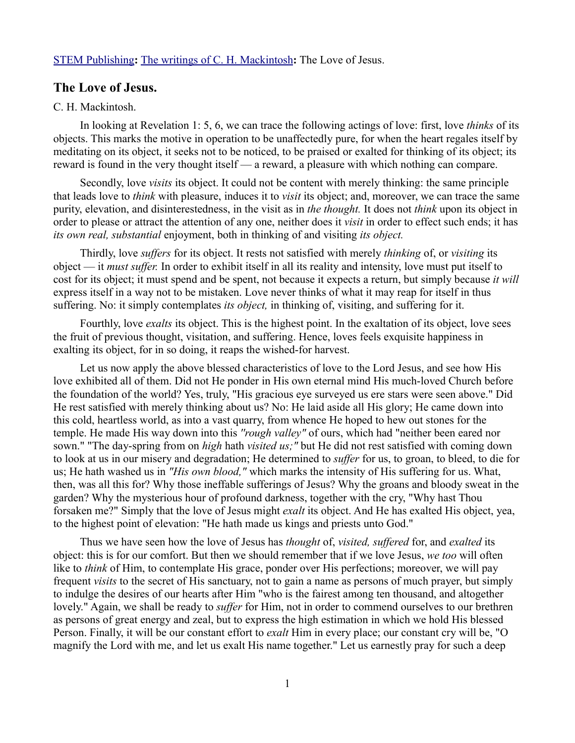## [STEM Publishing](http://www.stempublishing.com/)**:** [The writings of C. H. Mackintosh](http://www.stempublishing.com/authors/mackintosh/index.html)**:** The Love of Jesus.

## **The Love of Jesus.**

## C. H. Mackintosh.

In looking at Revelation 1: 5, 6, we can trace the following actings of love: first, love *thinks* of its objects. This marks the motive in operation to be unaffectedly pure, for when the heart regales itself by meditating on its object, it seeks not to be noticed, to be praised or exalted for thinking of its object; its reward is found in the very thought itself — a reward, a pleasure with which nothing can compare.

Secondly, love *visits* its object. It could not be content with merely thinking: the same principle that leads love to *think* with pleasure, induces it to *visit* its object; and, moreover, we can trace the same purity, elevation, and disinterestedness, in the visit as in *the thought.* It does not *think* upon its object in order to please or attract the attention of any one, neither does it *visit* in order to effect such ends; it has *its own real, substantial* enjoyment, both in thinking of and visiting *its object.* 

Thirdly, love *suffers* for its object. It rests not satisfied with merely *thinking* of, or *visiting* its object — it *must suffer.* In order to exhibit itself in all its reality and intensity, love must put itself to cost for its object; it must spend and be spent, not because it expects a return, but simply because *it will* express itself in a way not to be mistaken. Love never thinks of what it may reap for itself in thus suffering. No: it simply contemplates *its object,* in thinking of, visiting, and suffering for it.

Fourthly, love *exalts* its object. This is the highest point. In the exaltation of its object, love sees the fruit of previous thought, visitation, and suffering. Hence, loves feels exquisite happiness in exalting its object, for in so doing, it reaps the wished-for harvest.

Let us now apply the above blessed characteristics of love to the Lord Jesus, and see how His love exhibited all of them. Did not He ponder in His own eternal mind His much-loved Church before the foundation of the world? Yes, truly, "His gracious eye surveyed us ere stars were seen above." Did He rest satisfied with merely thinking about us? No: He laid aside all His glory; He came down into this cold, heartless world, as into a vast quarry, from whence He hoped to hew out stones for the temple. He made His way down into this *''rough valley"* of ours, which had "neither been eared nor sown." "The day-spring from on *high* hath *visited us;"* but He did not rest satisfied with coming down to look at us in our misery and degradation; He determined to *suffer* for us, to groan, to bleed, to die for us; He hath washed us in *"His own blood,"* which marks the intensity of His suffering for us. What, then, was all this for? Why those ineffable sufferings of Jesus? Why the groans and bloody sweat in the garden? Why the mysterious hour of profound darkness, together with the cry, "Why hast Thou forsaken me?" Simply that the love of Jesus might *exalt* its object. And He has exalted His object, yea, to the highest point of elevation: "He hath made us kings and priests unto God."

Thus we have seen how the love of Jesus has *thought* of, *visited, suffered* for, and *exalted* its object: this is for our comfort. But then we should remember that if we love Jesus, *we too* will often like to *think* of Him, to contemplate His grace, ponder over His perfections; moreover, we will pay frequent *visits* to the secret of His sanctuary, not to gain a name as persons of much prayer, but simply to indulge the desires of our hearts after Him "who is the fairest among ten thousand, and altogether lovely." Again, we shall be ready to *suffer* for Him, not in order to commend ourselves to our brethren as persons of great energy and zeal, but to express the high estimation in which we hold His blessed Person. Finally, it will be our constant effort to *exalt* Him in every place; our constant cry will be, "O magnify the Lord with me, and let us exalt His name together." Let us earnestly pray for such a deep